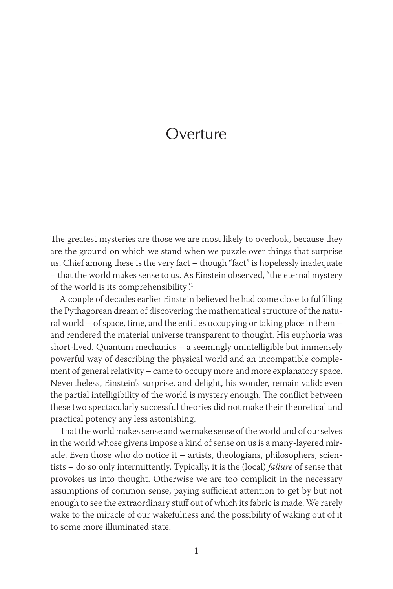## Overture

The greatest mysteries are those we are most likely to overlook, because they are the ground on which we stand when we puzzle over things that surprise us. Chief among these is the very fact – though "fact" is hopelessly inadequate – that the world makes sense to us. As Einstein observed, "the eternal mystery of the world is its comprehensibility".<sup>1</sup>

A couple of decades earlier Einstein believed he had come close to fulfilling the Pythagorean dream of discovering the mathematical structure of the natural world – of space, time, and the entities occupying or taking place in them – and rendered the material universe transparent to thought. His euphoria was short-lived. Quantum mechanics – a seemingly unintelligible but immensely powerful way of describing the physical world and an incompatible complement of general relativity – came to occupy more and more explanatory space. Nevertheless, Einstein's surprise, and delight, his wonder, remain valid: even the partial intelligibility of the world is mystery enough. The conflict between these two spectacularly successful theories did not make their theoretical and practical potency any less astonishing.

That the world makes sense and we make sense of the world and of ourselves in the world whose givens impose a kind of sense on us is a many-layered miracle. Even those who do notice it – artists, theologians, philosophers, scientists – do so only intermittently. Typically, it is the (local) *failure* of sense that provokes us into thought. Otherwise we are too complicit in the necessary assumptions of common sense, paying sufficient attention to get by but not enough to see the extraordinary stuff out of which its fabric is made. We rarely wake to the miracle of our wakefulness and the possibility of waking out of it to some more illuminated state.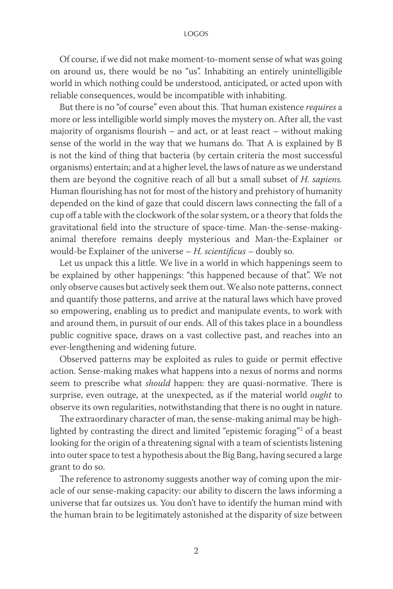Of course, if we did not make moment-to-moment sense of what was going on around us, there would be no "us". Inhabiting an entirely unintelligible world in which nothing could be understood, anticipated, or acted upon with reliable consequences, would be incompatible with inhabiting.

But there is no "of course" even about this. That human existence *requires* a more or less intelligible world simply moves the mystery on. After all, the vast majority of organisms flourish – and act, or at least react – without making sense of the world in the way that we humans do. That A is explained by B is not the kind of thing that bacteria (by certain criteria the most successful organisms) entertain; and at a higher level, the laws of nature as we understand them are beyond the cognitive reach of all but a small subset of *H. sapiens.*  Human flourishing has not for most of the history and prehistory of humanity depended on the kind of gaze that could discern laws connecting the fall of a cup off a table with the clockwork of the solar system, or a theory that folds the gravitational field into the structure of space-time. Man-the-sense-makinganimal therefore remains deeply mysterious and Man-the-Explainer or would-be Explainer of the universe – *H. scientificus –* doubly so.

Let us unpack this a little. We live in a world in which happenings seem to be explained by other happenings: "this happened because of that". We not only observe causes but actively seek them out. We also note patterns, connect and quantify those patterns, and arrive at the natural laws which have proved so empowering, enabling us to predict and manipulate events, to work with and around them, in pursuit of our ends. All of this takes place in a boundless public cognitive space, draws on a vast collective past, and reaches into an ever-lengthening and widening future.

Observed patterns may be exploited as rules to guide or permit effective action. Sense-making makes what happens into a nexus of norms and norms seem to prescribe what *should* happen: they are quasi-normative. There is surprise, even outrage, at the unexpected, as if the material world *ought* to observe its own regularities, notwithstanding that there is no ought in nature.

The extraordinary character of man, the sense-making animal may be highlighted by contrasting the direct and limited "epistemic foraging"2 of a beast looking for the origin of a threatening signal with a team of scientists listening into outer space to test a hypothesis about the Big Bang, having secured a large grant to do so.

The reference to astronomy suggests another way of coming upon the miracle of our sense-making capacity: our ability to discern the laws informing a universe that far outsizes us. You don't have to identify the human mind with the human brain to be legitimately astonished at the disparity of size between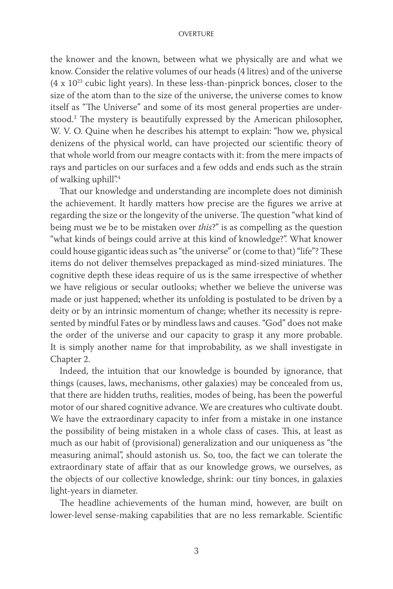## **OVERTURE**

the knower and the known, between what we physically are and what we know. Consider the relative volumes of our heads (4 litres) and of the universe  $(4 \times 10^{23}$  cubic light years). In these less-than-pinprick bonces, closer to the size of the atom than to the size of the universe, the universe comes to know itself as "The Universe" and some of its most general properties are understood.3 The mystery is beautifully expressed by the American philosopher, W. V. O. Quine when he describes his attempt to explain: "how we, physical denizens of the physical world, can have projected our scientific theory of that whole world from our meagre contacts with it: from the mere impacts of rays and particles on our surfaces and a few odds and ends such as the strain of walking uphill".4

That our knowledge and understanding are incomplete does not diminish the achievement. It hardly matters how precise are the figures we arrive at regarding the size or the longevity of the universe. The question "what kind of being must we be to be mistaken over *this*?" is as compelling as the question "what kinds of beings could arrive at this kind of knowledge?". What knower could house gigantic ideas such as "the universe" or (come to that) "life"? These items do not deliver themselves prepackaged as mind-sized miniatures. The cognitive depth these ideas require of us is the same irrespective of whether we have religious or secular outlooks; whether we believe the universe was made or just happened; whether its unfolding is postulated to be driven by a deity or by an intrinsic momentum of change; whether its necessity is represented by mindful Fates or by mindless laws and causes. "God" does not make the order of the universe and our capacity to grasp it any more probable. It is simply another name for that improbability, as we shall investigate in Chapter 2.

Indeed, the intuition that our knowledge is bounded by ignorance, that things (causes, laws, mechanisms, other galaxies) may be concealed from us, that there are hidden truths, realities, modes of being, has been the powerful motor of our shared cognitive advance. We are creatures who cultivate doubt. We have the extraordinary capacity to infer from a mistake in one instance the possibility of being mistaken in a whole class of cases. This, at least as much as our habit of (provisional) generalization and our uniqueness as "the measuring animal", should astonish us. So, too, the fact we can tolerate the extraordinary state of affair that as our knowledge grows, we ourselves, as the objects of our collective knowledge, shrink: our tiny bonces, in galaxies light-years in diameter.

The headline achievements of the human mind, however, are built on lower-level sense-making capabilities that are no less remarkable. Scientific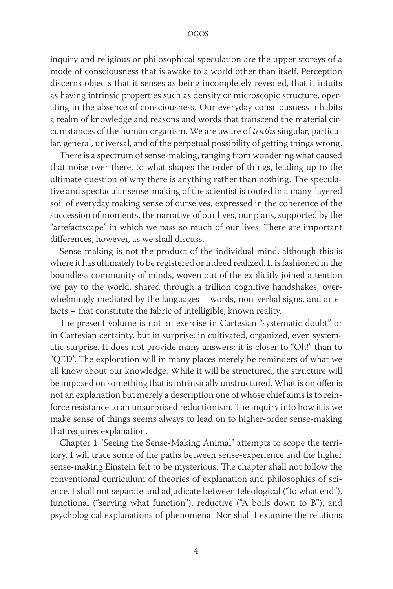inquiry and religious or philosophical speculation are the upper storeys of a mode of consciousness that is awake to a world other than itself. Perception discerns objects that it senses as being incompletely revealed, that it intuits as having intrinsic properties such as density or microscopic structure, operating in the absence of consciousness. Our everyday consciousness inhabits a realm of knowledge and reasons and words that transcend the material circumstances of the human organism. We are aware of *truths* singular, particular, general, universal, and of the perpetual possibility of getting things wrong.

There is a spectrum of sense-making, ranging from wondering what caused that noise over there, to what shapes the order of things, leading up to the ultimate question of why there is anything rather than nothing. The speculative and spectacular sense-making of the scientist is rooted in a many-layered soil of everyday making sense of ourselves, expressed in the coherence of the succession of moments, the narrative of our lives, our plans, supported by the "artefactscape" in which we pass so much of our lives. There are important differences, however, as we shall discuss.

Sense-making is not the product of the individual mind, although this is where it has ultimately to be registered or indeed realized. It is fashioned in the boundless community of minds, woven out of the explicitly joined attention we pay to the world, shared through a trillion cognitive handshakes, overwhelmingly mediated by the languages – words, non-verbal signs, and artefacts – that constitute the fabric of intelligible, known reality.

The present volume is not an exercise in Cartesian "systematic doubt" or in Cartesian certainty, but in surprise; in cultivated, organized, even systematic surprise. It does not provide many answers: it is closer to "Oh!" than to "QED". The exploration will in many places merely be reminders of what we all know about our knowledge. While it will be structured, the structure will be imposed on something that is intrinsically unstructured. What is on offer is not an explanation but merely a description one of whose chief aims is to reinforce resistance to an unsurprised reductionism. The inquiry into how it is we make sense of things seems always to lead on to higher-order sense-making that requires explanation.

Chapter 1 "Seeing the Sense-Making Animal" attempts to scope the territory. I will trace some of the paths between sense-experience and the higher sense-making Einstein felt to be mysterious. The chapter shall not follow the conventional curriculum of theories of explanation and philosophies of science. I shall not separate and adjudicate between teleological ("to what end"), functional ("serving what function"), reductive ("A boils down to B"), and psychological explanations of phenomena. Nor shall I examine the relations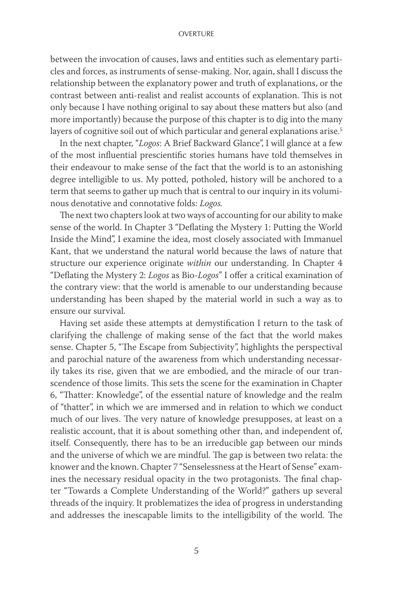## **OVERTURE**

between the invocation of causes, laws and entities such as elementary particles and forces, as instruments of sense-making. Nor, again, shall I discuss the relationship between the explanatory power and truth of explanations, or the contrast between anti-realist and realist accounts of explanation. This is not only because I have nothing original to say about these matters but also (and more importantly) because the purpose of this chapter is to dig into the many layers of cognitive soil out of which particular and general explanations arise.<sup>5</sup>

In the next chapter, "*Logos*: A Brief Backward Glance", I will glance at a few of the most influential prescientific stories humans have told themselves in their endeavour to make sense of the fact that the world is to an astonishing degree intelligible to us. My potted, potholed, history will be anchored to a term that seems to gather up much that is central to our inquiry in its voluminous denotative and connotative folds: *Logos.*

The next two chapters look at two ways of accounting for our ability to make sense of the world. In Chapter 3 "Deflating the Mystery 1: Putting the World Inside the Mind", I examine the idea, most closely associated with Immanuel Kant, that we understand the natural world because the laws of nature that structure our experience originate *within* our understanding. In Chapter 4 "Deflating the Mystery 2: *Logos* as Bio-*Logos*" I offer a critical examination of the contrary view: that the world is amenable to our understanding because understanding has been shaped by the material world in such a way as to ensure our survival.

Having set aside these attempts at demystification I return to the task of clarifying the challenge of making sense of the fact that the world makes sense. Chapter 5, "The Escape from Subjectivity", highlights the perspectival and parochial nature of the awareness from which understanding necessarily takes its rise, given that we are embodied, and the miracle of our transcendence of those limits. This sets the scene for the examination in Chapter 6, "Thatter: Knowledge", of the essential nature of knowledge and the realm of "thatter", in which we are immersed and in relation to which we conduct much of our lives. The very nature of knowledge presupposes, at least on a realistic account, that it is about something other than, and independent of, itself. Consequently, there has to be an irreducible gap between our minds and the universe of which we are mindful. The gap is between two relata: the knower and the known. Chapter 7 "Senselessness at the Heart of Sense" examines the necessary residual opacity in the two protagonists. The final chapter "Towards a Complete Understanding of the World?" gathers up several threads of the inquiry. It problematizes the idea of progress in understanding and addresses the inescapable limits to the intelligibility of the world. The